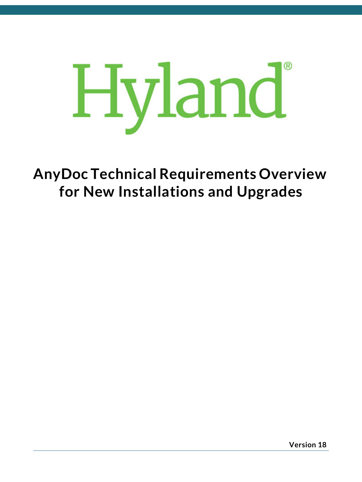

**AnyDoc Technical Requirements Overview for New Installations and Upgrades**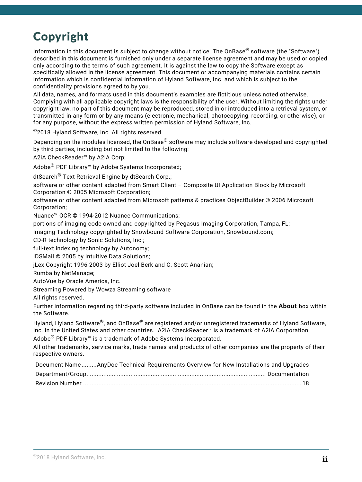### Copyright

Information in this document is subject to change without notice. The OnBase® software (the "Software") described in this document is furnished only under a separate license agreement and may be used or copied only according to the terms of such agreement. It is against the law to copy the Software except as specifically allowed in the license agreement. This document or accompanying materials contains certain information which is confidential information of Hyland Software, Inc. and which is subject to the confidentiality provisions agreed to by you.

All data, names, and formats used in this document's examples are fictitious unless noted otherwise. Complying with all applicable copyright laws is the responsibility of the user. Without limiting the rights under copyright law, no part of this document may be reproduced, stored in or introduced into a retrieval system, or transmitted in any form or by any means (electronic, mechanical, photocopying, recording, or otherwise), or for any purpose, without the express written permission of Hyland Software, Inc.

©2018 Hyland Software, Inc. All rights reserved.

Depending on the modules licensed, the OnBase<sup>®</sup> software may include software developed and copyrighted by third parties, including but not limited to the following:

A2iA CheckReader™ by A2iA Corp;

Adobe® PDF Library™ by Adobe Systems Incorporated;

dtSearch® Text Retrieval Engine by dtSearch Corp.;

software or other content adapted from Smart Client – Composite UI Application Block by Microsoft Corporation © 2005 Microsoft Corporation;

software or other content adapted from Microsoft patterns & practices ObjectBuilder © 2006 Microsoft Corporation;

Nuance™ OCR © 1994-2012 Nuance Communications;

portions of imaging code owned and copyrighted by Pegasus Imaging Corporation, Tampa, FL;

Imaging Technology copyrighted by Snowbound Software Corporation, Snowbound.com;

CD-R technology by Sonic Solutions, Inc.;

full-text indexing technology by Autonomy;

IDSMail © 2005 by Intuitive Data Solutions;

jLex Copyright 1996-2003 by Elliot Joel Berk and C. Scott Ananian;

Rumba by NetManage;

AutoVue by Oracle America, Inc.

Streaming Powered by Wowza Streaming software

All rights reserved.

Further information regarding third-party software included in OnBase can be found in the **About** box within the Software.

Hyland, Hyland Software®, and OnBase® are registered and/or unregistered trademarks of Hyland Software, Inc. in the United States and other countries. A2iA CheckReader™ is a trademark of A2iA Corporation.

Adobe® PDF Library™ is a trademark of Adobe Systems Incorporated.

All other trademarks, service marks, trade names and products of other companies are the property of their respective owners.

| Document NameAnyDoc Technical Requirements Overview for New Installations and Upgrades |  |
|----------------------------------------------------------------------------------------|--|
|                                                                                        |  |
|                                                                                        |  |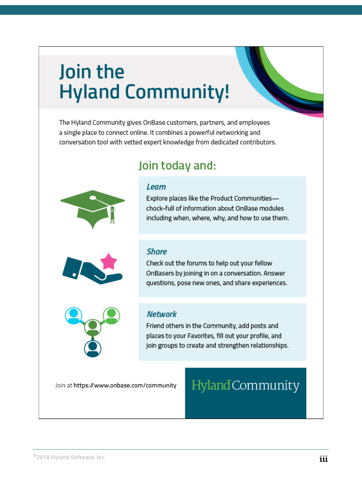# Join the **Hyland Community!**

The Hyland Community gives OnBase customers, partners, and employees a single place to connect online. It combines a powerful networking and conversation tool with vetted expert knowledge from dedicated contributors.

### Join today and:

#### Learn

Explore places like the Product Communitieschock-full of information about OnBase modules including when, where, why, and how to use them.



#### **Share**

Check out the forums to help out your fellow OnBasers by joining in on a conversation. Answer questions, pose new ones, and share experiences.



#### **Network**

Friend others in the Community, add posts and places to your Favorites, fill out your profile, and join groups to create and strengthen relationships.

Join at https://www.onbase.com/community

## Hyland Community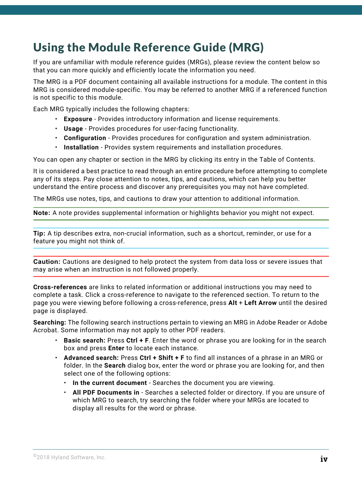### <span id="page-3-0"></span>Using the Module Reference Guide (MRG)

If you are unfamiliar with module reference guides (MRGs), please review the content below so that you can more quickly and efficiently locate the information you need.

The MRG is a PDF document containing all available instructions for a module. The content in this MRG is considered module-specific. You may be referred to another MRG if a referenced function is not specific to this module.

Each MRG typically includes the following chapters:

- **Exposure** Provides introductory information and license requirements.
- **Usage** Provides procedures for user-facing functionality.
- **Configuration** Provides procedures for configuration and system administration.
- **Installation** Provides system requirements and installation procedures.

You can open any chapter or section in the MRG by clicking its entry in the Table of Contents.

It is considered a best practice to read through an entire procedure before attempting to complete any of its steps. Pay close attention to notes, tips, and cautions, which can help you better understand the entire process and discover any prerequisites you may not have completed.

The MRGs use notes, tips, and cautions to draw your attention to additional information.

**Note:** A note provides supplemental information or highlights behavior you might not expect.

**Tip:** A tip describes extra, non-crucial information, such as a shortcut, reminder, or use for a feature you might not think of.

**Caution:** Cautions are designed to help protect the system from data loss or severe issues that may arise when an instruction is not followed properly.

**Cross-references** are links to related information or additional instructions you may need to complete a task. Click a cross-reference to navigate to the referenced section. To return to the page you were viewing before following a cross-reference, press **Alt** + **Left Arrow** until the desired page is displayed.

**Searching:** The following search instructions pertain to viewing an MRG in Adobe Reader or Adobe Acrobat. Some information may not apply to other PDF readers.

- **Basic search:** Press **Ctrl + F**. Enter the word or phrase you are looking for in the search box and press **Enter** to locate each instance.
- **Advanced search:** Press **Ctrl + Shift + F** to find all instances of a phrase in an MRG or folder. In the **Search** dialog box, enter the word or phrase you are looking for, and then select one of the following options:
	- **In the current document** Searches the document you are viewing.
	- **All PDF Documents in** Searches a selected folder or directory. If you are unsure of which MRG to search, try searching the folder where your MRGs are located to display all results for the word or phrase.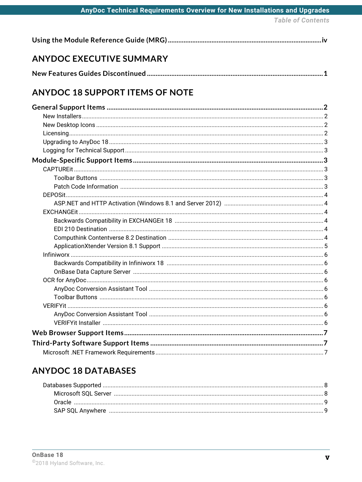| AnyDoc Technical Requirements Overview for New Installations and Upgrades |  |  |  |
|---------------------------------------------------------------------------|--|--|--|
|                                                                           |  |  |  |

**Table of Contents** 

|--|--|--|

### **ANYDOC EXECUTIVE SUMMARY**

### **ANYDOC 18 SUPPORT ITEMS OF NOTE**

### **ANYDOC 18 DATABASES**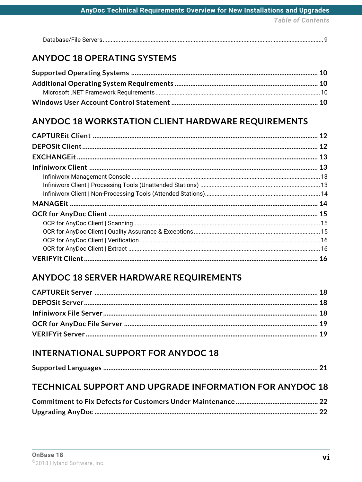**Table of Contents** 

| Database/File Servere |
|-----------------------|
|-----------------------|

#### **ANYDOC 18 OPERATING SYSTEMS**

#### **ANYDOC 18 WORKSTATION CLIENT HARDWARE REQUIREMENTS**

#### **ANYDOC 18 SERVER HARDWARE REQUIREMENTS**

#### **INTERNATIONAL SUPPORT FOR ANYDOC 18**

|--|

#### TECHNICAL SUPPORT AND UPGRADE INFORMATION FOR ANYDOC 18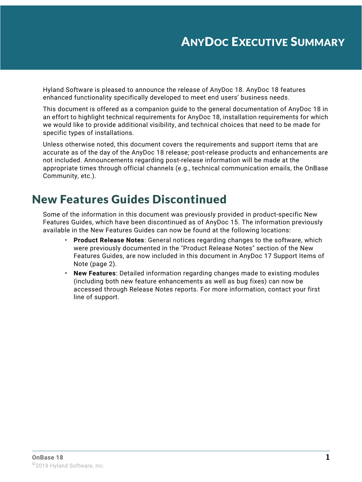<span id="page-7-0"></span>Hyland Software is pleased to announce the release of AnyDoc 18. AnyDoc 18 features enhanced functionality specifically developed to meet end users' business needs.

This document is offered as a companion guide to the general documentation of AnyDoc 18 in an effort to highlight technical requirements for AnyDoc 18, installation requirements for which we would like to provide additional visibility, and technical choices that need to be made for specific types of installations.

Unless otherwise noted, this document covers the requirements and support items that are accurate as of the day of the AnyDoc 18 release; post-release products and enhancements are not included. Announcements regarding post-release information will be made at the appropriate times through official channels (e.g., technical communication emails, the OnBase Community, etc.).

### <span id="page-7-1"></span>New Features Guides Discontinued

Some of the information in this document was previously provided in product-specific New Features Guides, which have been discontinued as of AnyDoc 15. The information previously available in the New Features Guides can now be found at the following locations:

- **Product Release Notes**: General notices regarding changes to the software, which were previously documented in the "Product Release Notes" section of the New Features Guides, are now included in this document in AnyDoc 17 Support Items of Note ([page 2](#page-8-5)).
- **New Features**: Detailed information regarding changes made to existing modules (including both new feature enhancements as well as bug fixes) can now be accessed through Release Notes reports. For more information, contact your first line of support.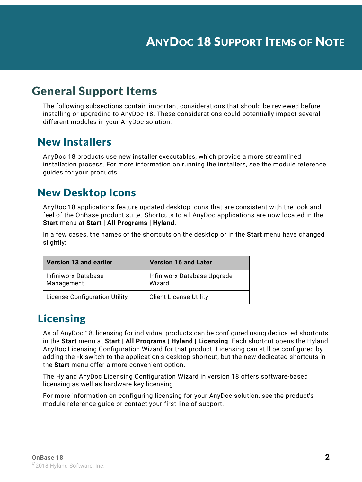### <span id="page-8-1"></span><span id="page-8-0"></span>General Support Items

<span id="page-8-5"></span>The following subsections contain important considerations that should be reviewed before installing or upgrading to AnyDoc 18. These considerations could potentially impact several different modules in your AnyDoc solution.

#### <span id="page-8-2"></span>New Installers

AnyDoc 18 products use new installer executables, which provide a more streamlined installation process. For more information on running the installers, see the module reference guides for your products.

### <span id="page-8-3"></span>New Desktop Icons

AnyDoc 18 applications feature updated desktop icons that are consistent with the look and feel of the OnBase product suite. Shortcuts to all AnyDoc applications are now located in the **Start** menu at **Start | All Programs | Hyland**.

In a few cases, the names of the shortcuts on the desktop or in the **Start** menu have changed slightly:

| Version 13 and earlier               | <b>Version 16 and Later</b>           |
|--------------------------------------|---------------------------------------|
| Infiniworx Database<br>Management    | Infiniworx Database Upgrade<br>Wizard |
| <b>License Configuration Utility</b> | <b>Client License Utility</b>         |

### <span id="page-8-4"></span>Licensing

As of AnyDoc 18, licensing for individual products can be configured using dedicated shortcuts in the **Start** menu at **Start | All Programs | Hyland | Licensing**. Each shortcut opens the Hyland AnyDoc Licensing Configuration Wizard for that product. Licensing can still be configured by adding the **-k** switch to the application's desktop shortcut, but the new dedicated shortcuts in the **Start** menu offer a more convenient option.

The Hyland AnyDoc Licensing Configuration Wizard in version 18 offers software-based licensing as well as hardware key licensing.

For more information on configuring licensing for your AnyDoc solution, see the product's module reference guide or contact your first line of support.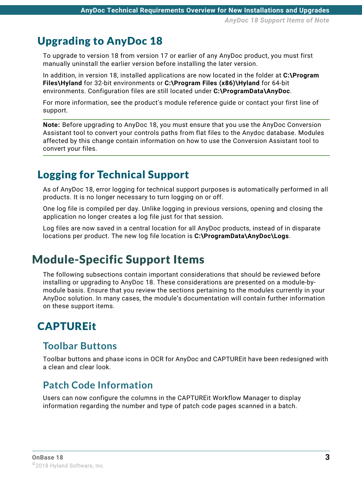### <span id="page-9-0"></span>Upgrading to AnyDoc 18

To upgrade to version 18 from version 17 or earlier of any AnyDoc product, you must first manually uninstall the earlier version before installing the later version.

In addition, in version 18, installed applications are now located in the folder at **C:\Program Files\Hyland** for 32-bit environments or **C:\Program Files (x86)\Hyland** for 64-bit environments. Configuration files are still located under **C:\ProgramData\AnyDoc**.

For more information, see the product's module reference guide or contact your first line of support.

**Note:** Before upgrading to AnyDoc 18, you must ensure that you use the AnyDoc Conversion Assistant tool to convert your controls paths from flat files to the Anydoc database. Modules affected by this change contain information on how to use the Conversion Assistant tool to convert your files.

### <span id="page-9-1"></span>Logging for Technical Support

As of AnyDoc 18, error logging for technical support purposes is automatically performed in all products. It is no longer necessary to turn logging on or off.

One log file is compiled per day. Unlike logging in previous versions, opening and closing the application no longer creates a log file just for that session.

Log files are now saved in a central location for all AnyDoc products, instead of in disparate locations per product. The new log file location is **C:\ProgramData\AnyDoc\Logs**.

### <span id="page-9-2"></span>Module-Specific Support Items

The following subsections contain important considerations that should be reviewed before installing or upgrading to AnyDoc 18. These considerations are presented on a module-bymodule basis. Ensure that you review the sections pertaining to the modules currently in your AnyDoc solution. In many cases, the module's documentation will contain further information on these support items.

### <span id="page-9-3"></span>**CAPTURFit**

#### <span id="page-9-4"></span>**Toolbar Buttons**

Toolbar buttons and phase icons in OCR for AnyDoc and CAPTUREit have been redesigned with a clean and clear look.

#### <span id="page-9-5"></span>**Patch Code Information**

Users can now configure the columns in the CAPTUREit Workflow Manager to display information regarding the number and type of patch code pages scanned in a batch.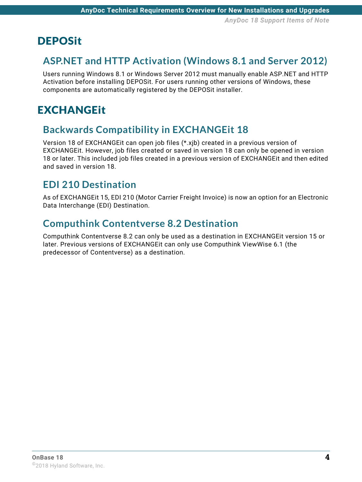### <span id="page-10-0"></span>**DEPOSit**

### <span id="page-10-1"></span>**ASP.NET and HTTP Activation (Windows 8.1 and Server 2012)**

Users running Windows 8.1 or Windows Server 2012 must manually enable ASP.NET and HTTP Activation before installing DEPOSit. For users running other versions of Windows, these components are automatically registered by the DEPOSit installer.

### <span id="page-10-2"></span>**EXCHANGEit**

#### <span id="page-10-3"></span>**Backwards Compatibility in EXCHANGEit 18**

Version 18 of EXCHANGEit can open job files (\*.xjb) created in a previous version of EXCHANGEit. However, job files created or saved in version 18 can only be opened in version 18 or later. This included job files created in a previous version of EXCHANGEit and then edited and saved in version 18.

### <span id="page-10-4"></span>**EDI 210 Destination**

As of EXCHANGEit 15, EDI 210 (Motor Carrier Freight Invoice) is now an option for an Electronic Data Interchange (EDI) Destination.

#### <span id="page-10-5"></span>**Computhink Contentverse 8.2 Destination**

Computhink Contentverse 8.2 can only be used as a destination in EXCHANGEit version 15 or later. Previous versions of EXCHANGEit can only use Computhink ViewWise 6.1 (the predecessor of Contentverse) as a destination.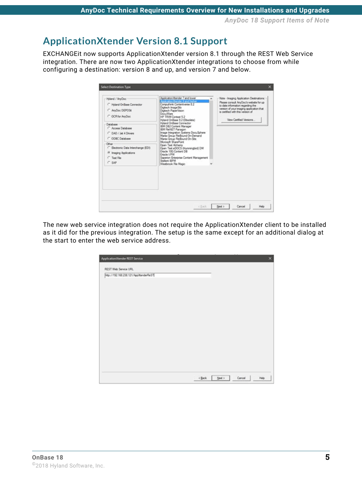*AnyDoc 18 Support Items of Note*

#### <span id="page-11-0"></span>**ApplicationXtender Version 8.1 Support**

EXCHANGEit now supports ApplicationXtender version 8.1 through the REST Web Service integration. There are now two ApplicationXtender integrations to choose from while configuring a destination: version 8 and up, and version 7 and below.

| Hyland / AnyDoc<br>C Hyland Onliane Connector<br>C AnyOoc DEPOSE<br>C OCR for AnyOpe<br>Database<br>C. Access Database<br>C DAO / Jet 4 Drivers<br>C ODBC Database | Application/Gender 7 and lower<br>Application.Xtender S and higher<br>Computhink Contentverse 8.2<br>Digitech Image Silo<br>Digtech PaperVision<br>Docu/Ware<br>HP TRIM Context 5.2<br>Hyland OnBase 9.2 (Obsolete)<br><b>Hyland OnBase Connector</b><br>IBM DB2 Content Manager<br>IBM FleNET Panagon<br>Inage Integration Systems DocuSphere<br>Marex Group FileBound On-Demand<br>Marex Group FileBound On-Site<br>Morosoft SharePoint | Note - Imaging Application Destinations: -<br>Please consult AnyDoc's website for up<br>to date information regarding the<br>version of your imaging application that<br>is certified with this version of<br>View Certified Versions |
|--------------------------------------------------------------------------------------------------------------------------------------------------------------------|-------------------------------------------------------------------------------------------------------------------------------------------------------------------------------------------------------------------------------------------------------------------------------------------------------------------------------------------------------------------------------------------------------------------------------------------|---------------------------------------------------------------------------------------------------------------------------------------------------------------------------------------------------------------------------------------|
| Other<br>C Bectronic Data Interchange (EDI)<br><sup>6</sup> Imaging Applications<br>C Text File<br>$C$ SAP                                                         | Open Text Alchemy<br>Open Text eDOCS (Hummingbird) DM<br>Oracle 10G Content DB<br>Oracle L/PM<br>Saperion Enterprise Content Management<br>Stellent IBPM<br>Westbrook F& Magic                                                                                                                                                                                                                                                            |                                                                                                                                                                                                                                       |
|                                                                                                                                                                    |                                                                                                                                                                                                                                                                                                                                                                                                                                           |                                                                                                                                                                                                                                       |

The new web service integration does not require the ApplicationXtender client to be installed as it did for the previous integration. The setup is the same except for an additional dialog at the start to enter the web service address.

| ApplicationXtender REST Service      |          |                  | ×      |
|--------------------------------------|----------|------------------|--------|
| REST Web Service URL                 |          |                  |        |
| rep://192.168.238.121/AppXtenderReST |          |                  |        |
|                                      |          |                  |        |
|                                      |          |                  |        |
|                                      |          |                  |        |
|                                      |          |                  |        |
|                                      |          |                  |        |
|                                      |          |                  |        |
|                                      |          |                  |        |
|                                      |          |                  |        |
|                                      |          |                  |        |
|                                      |          |                  |        |
|                                      |          |                  |        |
|                                      | $<$ Back | Cancel<br>Next > | . Help |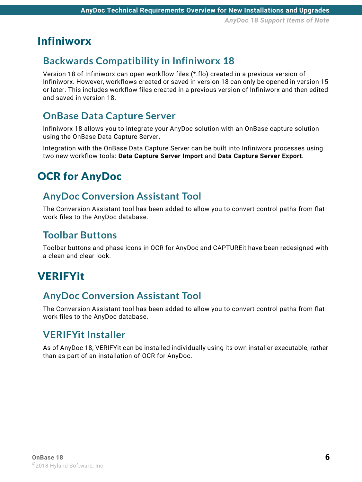### <span id="page-12-0"></span>Infiniworx

#### <span id="page-12-1"></span>**Backwards Compatibility in Infiniworx 18**

Version 18 of Infiniworx can open workflow files (\*.flo) created in a previous version of Infiniworx. However, workflows created or saved in version 18 can only be opened in version 15 or later. This includes workflow files created in a previous version of Infiniworx and then edited and saved in version 18.

### <span id="page-12-2"></span>**OnBase Data Capture Server**

Infiniworx 18 allows you to integrate your AnyDoc solution with an OnBase capture solution using the OnBase Data Capture Server.

Integration with the OnBase Data Capture Server can be built into Infiniworx processes using two new workflow tools: **Data Capture Server Import** and **Data Capture Server Export**.

### <span id="page-12-3"></span>OCR for AnyDoc

#### <span id="page-12-4"></span>**AnyDoc Conversion Assistant Tool**

The Conversion Assistant tool has been added to allow you to convert control paths from flat work files to the AnyDoc database.

#### <span id="page-12-5"></span>**Toolbar Buttons**

Toolbar buttons and phase icons in OCR for AnyDoc and CAPTUREit have been redesigned with a clean and clear look.

### <span id="page-12-6"></span>VERIFYit

#### <span id="page-12-7"></span>**AnyDoc Conversion Assistant Tool**

The Conversion Assistant tool has been added to allow you to convert control paths from flat work files to the AnyDoc database.

#### <span id="page-12-8"></span>**VERIFYit Installer**

As of AnyDoc 18, VERIFYit can be installed individually using its own installer executable, rather than as part of an installation of OCR for AnyDoc.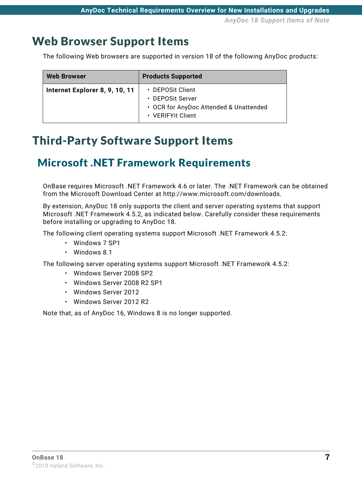### <span id="page-13-3"></span><span id="page-13-0"></span>Web Browser Support Items

The following Web browsers are supported in version 18 of the following AnyDoc products:

| <b>Web Browser</b>             | <b>Products Supported</b>                                                                           |
|--------------------------------|-----------------------------------------------------------------------------------------------------|
| Internet Explorer 8, 9, 10, 11 | • DEPOSit Client<br>• DEPOSit Server<br>• OCR for AnyDoc Attended & Unattended<br>• VERIFYit Client |

### <span id="page-13-1"></span>Third-Party Software Support Items

### <span id="page-13-2"></span>Microsoft .NET Framework Requirements

[OnBase requires Microsoft .NET Framework 4.6 or later. The .NET Framework can be obtained](http://www.microsoft.com/downloads)  from the Microsoft Download Center at http://www.microsoft.com/downloads.

By extension, AnyDoc 18 only supports the client and server operating systems that support Microsoft .NET Framework 4.5.2, as indicated below. Carefully consider these requirements before installing or upgrading to AnyDoc 18.

The following client operating systems support Microsoft .NET Framework 4.5.2:

- Windows 7 SP1
- Windows 8.1

The following server operating systems support Microsoft .NET Framework 4.5.2:

- Windows Server 2008 SP2
- Windows Server 2008 R2 SP1
- Windows Server 2012
- Windows Server 2012 R2

Note that, as of AnyDoc 16, Windows 8 is no longer supported.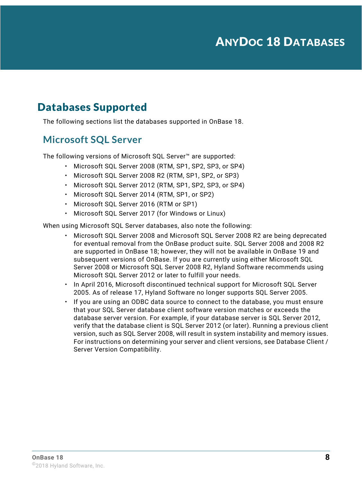### <span id="page-14-1"></span><span id="page-14-0"></span>Databases Supported

The following sections list the databases supported in OnBase 18.

#### <span id="page-14-2"></span>**Microsoft SQL Server**

The following versions of Microsoft SQL Server™ are supported:

- Microsoft SQL Server 2008 (RTM, SP1, SP2, SP3, or SP4)
- Microsoft SQL Server 2008 R2 (RTM, SP1, SP2, or SP3)
- Microsoft SQL Server 2012 (RTM, SP1, SP2, SP3, or SP4)
- Microsoft SQL Server 2014 (RTM, SP1, or SP2)
- Microsoft SQL Server 2016 (RTM or SP1)
- Microsoft SQL Server 2017 (for Windows or Linux)

When using Microsoft SQL Server databases, also note the following:

- Microsoft SQL Server 2008 and Microsoft SQL Server 2008 R2 are being deprecated for eventual removal from the OnBase product suite. SQL Server 2008 and 2008 R2 are supported in OnBase 18; however, they will not be available in OnBase 19 and subsequent versions of OnBase. If you are currently using either Microsoft SQL Server 2008 or Microsoft SQL Server 2008 R2, Hyland Software recommends using Microsoft SQL Server 2012 or later to fulfill your needs.
- In April 2016, Microsoft discontinued technical support for Microsoft SQL Server 2005. As of release 17, Hyland Software no longer supports SQL Server 2005.
- If you are using an ODBC data source to connect to the database, you must ensure that your SQL Server database client software version matches or exceeds the database server version. For example, if your database server is SQL Server 2012, verify that the database client is SQL Server 2012 (or later). Running a previous client version, such as SQL Server 2008, will result in system instability and memory issues. For instructions on determining your server and client versions, see Database Client / Server Version Compatibility.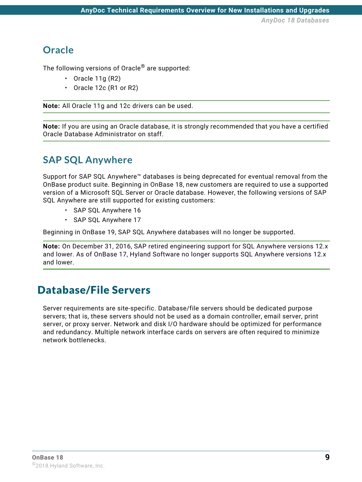#### <span id="page-15-0"></span>**Oracle**

The following versions of Oracle<sup>®</sup> are supported:

- Oracle 11g  $(R2)$
- Oracle 12c (R1 or R2)

**Note:** All Oracle 11g and 12c drivers can be used.

**Note:** If you are using an Oracle database, it is strongly recommended that you have a certified Oracle Database Administrator on staff.

#### <span id="page-15-1"></span>**SAP SQL Anywhere**

Support for SAP SQL Anywhere<sup>™</sup> databases is being deprecated for eventual removal from the OnBase product suite. Beginning in OnBase 18, new customers are required to use a supported version of a Microsoft SQL Server or Oracle database. However, the following versions of SAP SQL Anywhere are still supported for existing customers:

- SAP SQL Anywhere 16
- SAP SQL Anywhere 17

Beginning in OnBase 19, SAP SQL Anywhere databases will no longer be supported.

**Note:** On December 31, 2016, SAP retired engineering support for SQL Anywhere versions 12.x and lower. As of OnBase 17, Hyland Software no longer supports SQL Anywhere versions 12.x and lower.

### <span id="page-15-2"></span>Database/File Servers

Server requirements are site-specific. Database/file servers should be dedicated purpose servers; that is, these servers should not be used as a domain controller, email server, print server, or proxy server. Network and disk I/O hardware should be optimized for performance and redundancy. Multiple network interface cards on servers are often required to minimize network bottlenecks.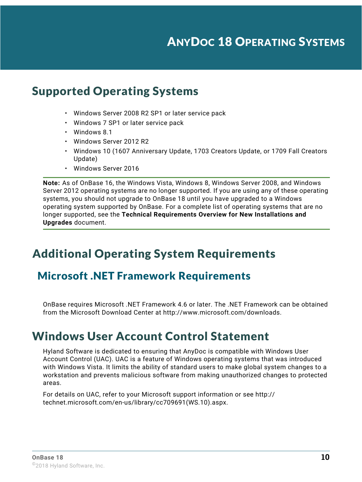### ANYDOC 18 OPERATING SYSTEMS

### <span id="page-16-1"></span><span id="page-16-0"></span>Supported Operating Systems

- Windows Server 2008 R2 SP1 or later service pack
- Windows 7 SP1 or later service pack
- Windows 8.1
- Windows Server 2012 R2
- Windows 10 (1607 Anniversary Update, 1703 Creators Update, or 1709 Fall Creators Update)
- Windows Server 2016

**Note:** As of OnBase 16, the Windows Vista, Windows 8, Windows Server 2008, and Windows Server 2012 operating systems are no longer supported. If you are using any of these operating systems, you should not upgrade to OnBase 18 until you have upgraded to a Windows operating system supported by OnBase. For a complete list of operating systems that are no longer supported, see the **Technical Requirements Overview for New Installations and Upgrades** document.

### <span id="page-16-2"></span>Additional Operating System Requirements

#### <span id="page-16-3"></span>Microsoft .NET Framework Requirements

[OnBase requires Microsoft .NET Framework 4.6 or later. The .NET Framework can be obtained](http://www.microsoft.com/downloads)  from the Microsoft Download Center at http://www.microsoft.com/downloads.

#### <span id="page-16-4"></span>Windows User Account Control Statement

Hyland Software is dedicated to ensuring that AnyDoc is compatible with Windows User Account Control (UAC). UAC is a feature of Windows operating systems that was introduced with Windows Vista. It limits the ability of standard users to make global system changes to a workstation and prevents malicious software from making unauthorized changes to protected areas.

For details on UAC, refer to your Microsoft support information or see http:// technet.microsoft.com/en-us/library/cc709691(WS.10).aspx.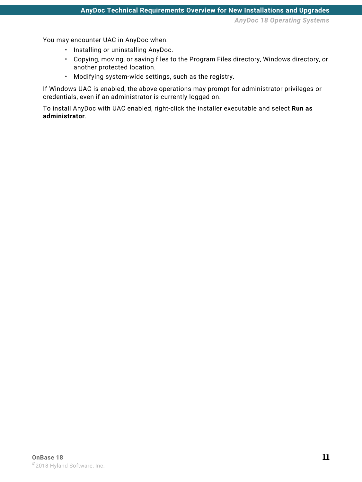*AnyDoc 18 Operating Systems*

You may encounter UAC in AnyDoc when:

- Installing or uninstalling AnyDoc.
- Copying, moving, or saving files to the Program Files directory, Windows directory, or another protected location.
- Modifying system-wide settings, such as the registry.

If Windows UAC is enabled, the above operations may prompt for administrator privileges or credentials, even if an administrator is currently logged on.

To install AnyDoc with UAC enabled, right-click the installer executable and select **Run as administrator**.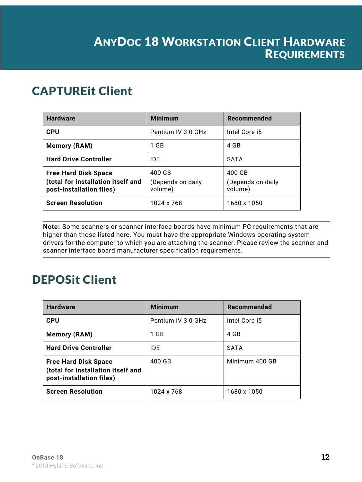### <span id="page-18-0"></span>ANYDOC 18 WORKSTATION CLIENT HARDWARE REQUIREMENTS

### <span id="page-18-1"></span>CAPTUREit Client

| <b>Hardware</b>                                                                               | <b>Minimum</b>                         | Recommended                            |
|-----------------------------------------------------------------------------------------------|----------------------------------------|----------------------------------------|
| <b>CPU</b>                                                                                    | Pentium IV 3.0 GHz                     | Intel Core i5                          |
| <b>Memory (RAM)</b>                                                                           | 1 GB                                   | 4 GB                                   |
| <b>Hard Drive Controller</b>                                                                  | IDE                                    | <b>SATA</b>                            |
| <b>Free Hard Disk Space</b><br>(total for installation itself and<br>post-installation files) | 400 GB<br>(Depends on daily<br>volume) | 400 GB<br>(Depends on daily<br>volume) |
| <b>Screen Resolution</b>                                                                      | 1024 x 768                             | 1680 x 1050                            |

**Note:** Some scanners or scanner interface boards have minimum PC requirements that are higher than those listed here. You must have the appropriate Windows operating system drivers for the computer to which you are attaching the scanner. Please review the scanner and scanner interface board manufacturer specification requirements.

## <span id="page-18-2"></span>DEPOSit Client

| <b>Hardware</b>                                                                               | <b>Minimum</b>     | Recommended    |
|-----------------------------------------------------------------------------------------------|--------------------|----------------|
| <b>CPU</b>                                                                                    | Pentium IV 3.0 GHz | Intel Core i5  |
| <b>Memory (RAM)</b>                                                                           | 1 GB               | 4 GB           |
| <b>Hard Drive Controller</b>                                                                  | <b>IDE</b>         | <b>SATA</b>    |
| <b>Free Hard Disk Space</b><br>(total for installation itself and<br>post-installation files) | 400 GB             | Minimum 400 GB |
| <b>Screen Resolution</b>                                                                      | 1024 x 768         | 1680 x 1050    |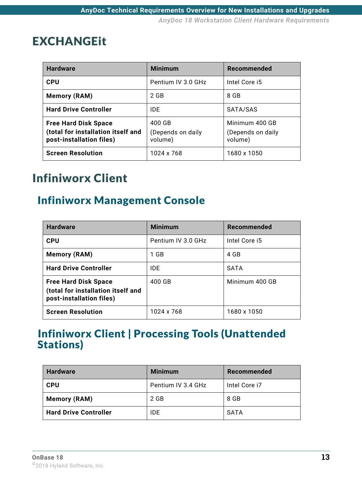### <span id="page-19-0"></span>EXCHANGEit

| <b>Hardware</b>                                                                               | <b>Minimum</b>                         | Recommended                                    |
|-----------------------------------------------------------------------------------------------|----------------------------------------|------------------------------------------------|
| <b>CPU</b>                                                                                    | Pentium IV 3.0 GHz                     | Intel Core i5                                  |
| <b>Memory (RAM)</b>                                                                           | 2 GB                                   | 8 GB                                           |
| <b>Hard Drive Controller</b>                                                                  | IDE                                    | SATA/SAS                                       |
| <b>Free Hard Disk Space</b><br>(total for installation itself and<br>post-installation files) | 400 GB<br>(Depends on daily<br>volume) | Minimum 400 GB<br>(Depends on daily<br>volume) |
| <b>Screen Resolution</b>                                                                      | 1024 x 768                             | 1680 x 1050                                    |

### <span id="page-19-1"></span>Infiniworx Client

### <span id="page-19-2"></span>Infiniworx Management Console

| <b>Hardware</b>                                                                               | <b>Minimum</b>     | Recommended    |
|-----------------------------------------------------------------------------------------------|--------------------|----------------|
| <b>CPU</b>                                                                                    | Pentium IV 3.0 GHz | Intel Core i5  |
| <b>Memory (RAM)</b>                                                                           | 1 GB               | 4 GB           |
| <b>Hard Drive Controller</b>                                                                  | IDE                | <b>SATA</b>    |
| <b>Free Hard Disk Space</b><br>(total for installation itself and<br>post-installation files) | 400 GB             | Minimum 400 GB |
| <b>Screen Resolution</b>                                                                      | 1024 x 768         | 1680 x 1050    |

### <span id="page-19-3"></span>Infiniworx Client | Processing Tools (Unattended Stations)

| <b>Hardware</b>              | <b>Minimum</b>     | Recommended   |
|------------------------------|--------------------|---------------|
| <b>CPU</b>                   | Pentium IV 3.4 GHz | Intel Core i7 |
| Memory (RAM)                 | 2 GB               | 8 GB          |
| <b>Hard Drive Controller</b> | <b>IDE</b>         | SATA          |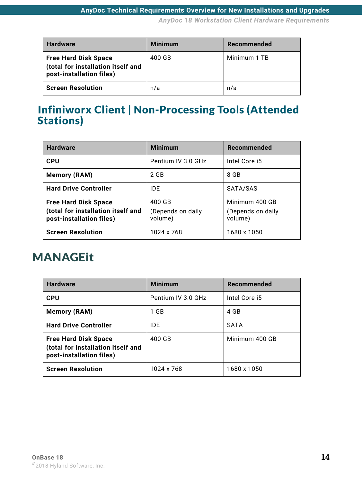*AnyDoc 18 Workstation Client Hardware Requirements*

| <b>Hardware</b>                                                                               | <b>Minimum</b> | Recommended  |
|-----------------------------------------------------------------------------------------------|----------------|--------------|
| <b>Free Hard Disk Space</b><br>(total for installation itself and<br>post-installation files) | 400 GB         | Minimum 1 TB |
| <b>Screen Resolution</b>                                                                      | n/a            | n/a          |

### <span id="page-20-0"></span>Infiniworx Client | Non-Processing Tools (Attended Stations)

| <b>Hardware</b>                                                                               | <b>Minimum</b>                         | Recommended                                    |
|-----------------------------------------------------------------------------------------------|----------------------------------------|------------------------------------------------|
| <b>CPU</b>                                                                                    | Pentium IV 3.0 GHz                     | Intel Core i5                                  |
| <b>Memory (RAM)</b>                                                                           | 2 GB                                   | 8 GB                                           |
| <b>Hard Drive Controller</b>                                                                  | <b>IDE</b>                             | SATA/SAS                                       |
| <b>Free Hard Disk Space</b><br>(total for installation itself and<br>post-installation files) | 400 GB<br>(Depends on daily<br>volume) | Minimum 400 GB<br>(Depends on daily<br>volume) |
| <b>Screen Resolution</b>                                                                      | 1024 x 768                             | 1680 x 1050                                    |

### <span id="page-20-1"></span>MANAGEit

| <b>Hardware</b>                                                                               | <b>Minimum</b>     | Recommended    |
|-----------------------------------------------------------------------------------------------|--------------------|----------------|
| <b>CPU</b>                                                                                    | Pentium IV 3.0 GHz | Intel Core i5  |
| <b>Memory (RAM)</b>                                                                           | 1 GB               | 4 GB           |
| <b>Hard Drive Controller</b>                                                                  | IDE.               | <b>SATA</b>    |
| <b>Free Hard Disk Space</b><br>(total for installation itself and<br>post-installation files) | 400 GB             | Minimum 400 GB |
| <b>Screen Resolution</b>                                                                      | 1024 x 768         | 1680 x 1050    |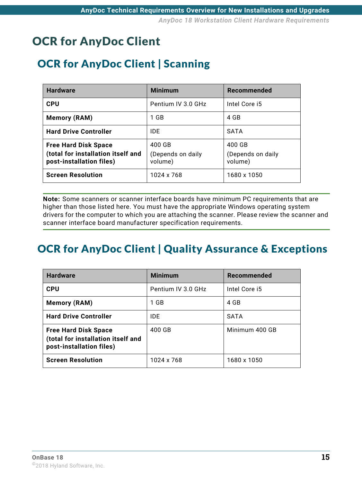### <span id="page-21-0"></span>OCR for AnyDoc Client

### <span id="page-21-1"></span>OCR for AnyDoc Client | Scanning

| <b>Hardware</b>                                                                               | <b>Minimum</b>                         | Recommended                            |
|-----------------------------------------------------------------------------------------------|----------------------------------------|----------------------------------------|
| <b>CPU</b>                                                                                    | Pentium IV 3.0 GHz                     | Intel Core i5                          |
| <b>Memory (RAM)</b>                                                                           | 1 GB                                   | 4 GB                                   |
| <b>Hard Drive Controller</b>                                                                  | IDE.                                   | <b>SATA</b>                            |
| <b>Free Hard Disk Space</b><br>(total for installation itself and<br>post-installation files) | 400 GB<br>(Depends on daily<br>volume) | 400 GB<br>(Depends on daily<br>volume) |
| <b>Screen Resolution</b>                                                                      | 1024 x 768                             | 1680 x 1050                            |

**Note:** Some scanners or scanner interface boards have minimum PC requirements that are higher than those listed here. You must have the appropriate Windows operating system drivers for the computer to which you are attaching the scanner. Please review the scanner and scanner interface board manufacturer specification requirements.

### <span id="page-21-2"></span>OCR for AnyDoc Client | Quality Assurance & Exceptions

| <b>Hardware</b>                                                                               | <b>Minimum</b>     | Recommended    |
|-----------------------------------------------------------------------------------------------|--------------------|----------------|
| <b>CPU</b>                                                                                    | Pentium IV 3.0 GHz | Intel Core i5  |
| <b>Memory (RAM)</b>                                                                           | 1 GB               | 4 GB           |
| <b>Hard Drive Controller</b>                                                                  | IDE.               | <b>SATA</b>    |
| <b>Free Hard Disk Space</b><br>(total for installation itself and<br>post-installation files) | 400 GB             | Minimum 400 GB |
| <b>Screen Resolution</b>                                                                      | 1024 x 768         | 1680 x 1050    |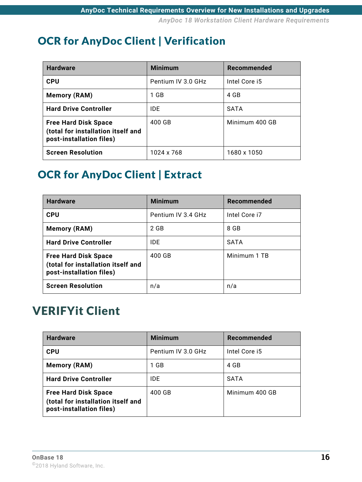### <span id="page-22-0"></span>OCR for AnyDoc Client | Verification

| <b>Hardware</b>                                                                               | <b>Minimum</b>     | Recommended    |
|-----------------------------------------------------------------------------------------------|--------------------|----------------|
| <b>CPU</b>                                                                                    | Pentium IV 3.0 GHz | Intel Core i5  |
| <b>Memory (RAM)</b>                                                                           | 1 GB               | 4 GB           |
| <b>Hard Drive Controller</b>                                                                  | <b>IDE</b>         | <b>SATA</b>    |
| <b>Free Hard Disk Space</b><br>(total for installation itself and<br>post-installation files) | 400 GB             | Minimum 400 GB |
| <b>Screen Resolution</b>                                                                      | 1024 x 768         | 1680 x 1050    |

### <span id="page-22-1"></span>OCR for AnyDoc Client | Extract

| <b>Hardware</b>                                                                               | <b>Minimum</b>     | <b>Recommended</b> |
|-----------------------------------------------------------------------------------------------|--------------------|--------------------|
| <b>CPU</b>                                                                                    | Pentium IV 3.4 GHz | Intel Core i7      |
| <b>Memory (RAM)</b>                                                                           | 2 GB               | 8 GB               |
| <b>Hard Drive Controller</b>                                                                  | <b>IDE</b>         | <b>SATA</b>        |
| <b>Free Hard Disk Space</b><br>(total for installation itself and<br>post-installation files) | 400 GB             | Minimum 1 TB       |
| <b>Screen Resolution</b>                                                                      | n/a                | n/a                |

## <span id="page-22-2"></span>VERIFYit Client

| <b>Hardware</b>                                                                               | <b>Minimum</b>     | Recommended    |
|-----------------------------------------------------------------------------------------------|--------------------|----------------|
| <b>CPU</b>                                                                                    | Pentium IV 3.0 GHz | Intel Core i5  |
| <b>Memory (RAM)</b>                                                                           | 1 GB               | 4 GB           |
| <b>Hard Drive Controller</b>                                                                  | <b>IDE</b>         | <b>SATA</b>    |
| <b>Free Hard Disk Space</b><br>(total for installation itself and<br>post-installation files) | 400 GB             | Minimum 400 GB |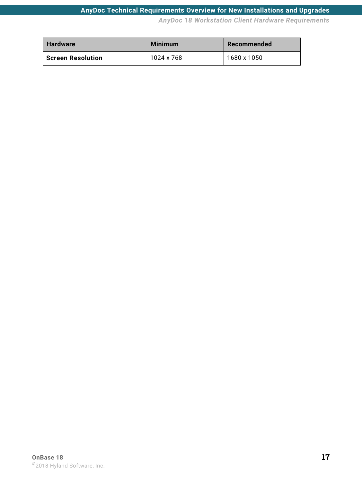#### **AnyDoc Technical Requirements Overview for New Installations and Upgrades**

*AnyDoc 18 Workstation Client Hardware Requirements*

| <b>Hardware</b>          | <b>Minimum</b> | Recommended |
|--------------------------|----------------|-------------|
| <b>Screen Resolution</b> | 1024 x 768     | 1680 x 1050 |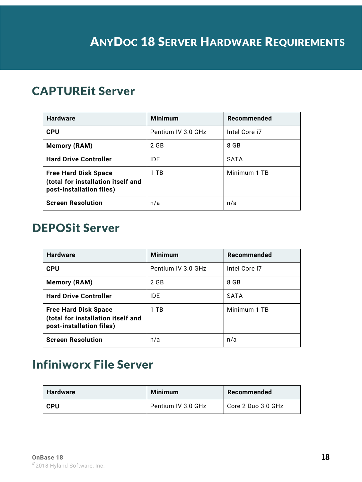### <span id="page-24-1"></span><span id="page-24-0"></span>CAPTUREit Server

| <b>Hardware</b>                                                                               | <b>Minimum</b>     | Recommended   |
|-----------------------------------------------------------------------------------------------|--------------------|---------------|
| <b>CPU</b>                                                                                    | Pentium IV 3.0 GHz | Intel Core i7 |
| <b>Memory (RAM)</b>                                                                           | 2 GB               | 8 GB          |
| <b>Hard Drive Controller</b>                                                                  | IDE                | <b>SATA</b>   |
| <b>Free Hard Disk Space</b><br>(total for installation itself and<br>post-installation files) | 1 TB               | Minimum 1 TB  |
| <b>Screen Resolution</b>                                                                      | n/a                | n/a           |

### <span id="page-24-2"></span>DEPOSit Server

| <b>Hardware</b>                                                                               | <b>Minimum</b>     | Recommended   |
|-----------------------------------------------------------------------------------------------|--------------------|---------------|
| <b>CPU</b>                                                                                    | Pentium IV 3.0 GHz | Intel Core i7 |
| <b>Memory (RAM)</b>                                                                           | 2 GB               | 8 GB          |
| <b>Hard Drive Controller</b>                                                                  | IDE                | <b>SATA</b>   |
| <b>Free Hard Disk Space</b><br>(total for installation itself and<br>post-installation files) | 1 TB               | Minimum 1 TB  |
| <b>Screen Resolution</b>                                                                      | n/a                | n/a           |

## <span id="page-24-3"></span>Infiniworx File Server

| <b>Hardware</b> | <b>Minimum</b>     | Recommended        |
|-----------------|--------------------|--------------------|
| <b>CPU</b>      | Pentium IV 3.0 GHz | Core 2 Duo 3.0 GHz |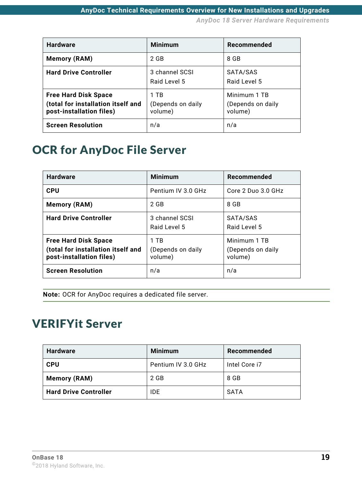*AnyDoc 18 Server Hardware Requirements*

| <b>Hardware</b>                                                                               | <b>Minimum</b>                       | Recommended                                  |
|-----------------------------------------------------------------------------------------------|--------------------------------------|----------------------------------------------|
| <b>Memory (RAM)</b>                                                                           | 2 GB                                 | 8 GB                                         |
| <b>Hard Drive Controller</b>                                                                  | 3 channel SCSI<br>Raid Level 5       | SATA/SAS<br>Raid Level 5                     |
| <b>Free Hard Disk Space</b><br>(total for installation itself and<br>post-installation files) | 1 TB<br>(Depends on daily<br>volume) | Minimum 1 TB<br>(Depends on daily<br>volume) |
| <b>Screen Resolution</b>                                                                      | n/a                                  | n/a                                          |

### <span id="page-25-0"></span>OCR for AnyDoc File Server

| <b>Hardware</b>                                                                               | <b>Minimum</b>                       | Recommended                                  |
|-----------------------------------------------------------------------------------------------|--------------------------------------|----------------------------------------------|
| <b>CPU</b>                                                                                    | Pentium IV 3.0 GHz                   | Core 2 Duo 3.0 GHz                           |
| <b>Memory (RAM)</b>                                                                           | 2 GB                                 | 8 GB                                         |
| <b>Hard Drive Controller</b>                                                                  | 3 channel SCSI<br>Raid Level 5       | SATA/SAS<br>Raid Level 5                     |
| <b>Free Hard Disk Space</b><br>(total for installation itself and<br>post-installation files) | 1 TR<br>(Depends on daily<br>volume) | Minimum 1 TB<br>(Depends on daily<br>volume) |
| <b>Screen Resolution</b>                                                                      | n/a                                  | n/a                                          |

**Note:** OCR for AnyDoc requires a dedicated file server.

### <span id="page-25-1"></span>VERIFYit Server

| <b>Hardware</b>              | <b>Minimum</b>     | Recommended   |
|------------------------------|--------------------|---------------|
| <b>CPU</b>                   | Pentium IV 3.0 GHz | Intel Core i7 |
| <b>Memory (RAM)</b>          | 2 GB               | 8 GB          |
| <b>Hard Drive Controller</b> | <b>IDE</b>         | SATA          |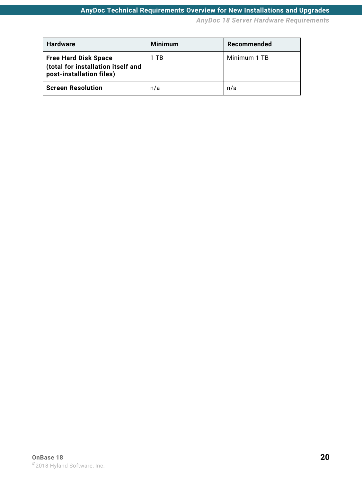*AnyDoc 18 Server Hardware Requirements*

| <b>Hardware</b>                                                                               | <b>Minimum</b> | Recommended  |
|-----------------------------------------------------------------------------------------------|----------------|--------------|
| <b>Free Hard Disk Space</b><br>(total for installation itself and<br>post-installation files) | 1 TB           | Minimum 1 TB |
| <b>Screen Resolution</b>                                                                      | n/a            | n/a          |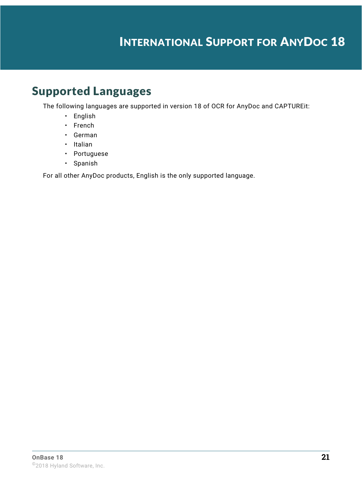### INTERNATIONAL SUPPORT FOR ANYDOC 18

### <span id="page-27-1"></span><span id="page-27-0"></span>Supported Languages

The following languages are supported in version 18 of OCR for AnyDoc and CAPTUREit:

- English
- French
- German
- Italian
- Portuguese
- Spanish

For all other AnyDoc products, English is the only supported language.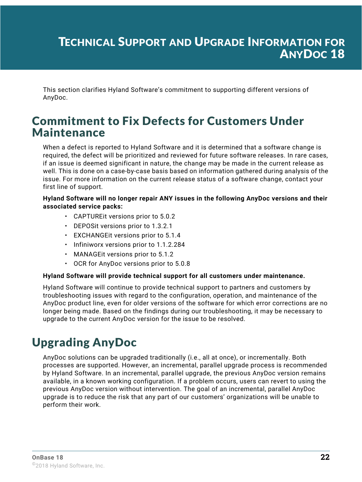### <span id="page-28-0"></span>TECHNICAL SUPPORT AND UPGRADE INFORMATION FOR ANYDOC 18

This section clarifies Hyland Software's commitment to supporting different versions of AnyDoc.

### <span id="page-28-1"></span>Commitment to Fix Defects for Customers Under Maintenance

When a defect is reported to Hyland Software and it is determined that a software change is required, the defect will be prioritized and reviewed for future software releases. In rare cases, if an issue is deemed significant in nature, the change may be made in the current release as well. This is done on a case-by-case basis based on information gathered during analysis of the issue. For more information on the current release status of a software change, contact your first line of support.

#### **Hyland Software will no longer repair ANY issues in the following AnyDoc versions and their associated service packs:**

- CAPTUREit versions prior to 5.0.2
- DEPOSit versions prior to 1.3.2.1
- EXCHANGEit versions prior to 5.1.4
- Infiniworx versions prior to 1.1.2.284
- MANAGEit versions prior to 5.1.2
- OCR for AnyDoc versions prior to 5.0.8

#### **Hyland Software will provide technical support for all customers under maintenance.**

Hyland Software will continue to provide technical support to partners and customers by troubleshooting issues with regard to the configuration, operation, and maintenance of the AnyDoc product line, even for older versions of the software for which error corrections are no longer being made. Based on the findings during our troubleshooting, it may be necessary to upgrade to the current AnyDoc version for the issue to be resolved.

### <span id="page-28-2"></span>Upgrading AnyDoc

AnyDoc solutions can be upgraded traditionally (i.e., all at once), or incrementally. Both processes are supported. However, an incremental, parallel upgrade process is recommended by Hyland Software. In an incremental, parallel upgrade, the previous AnyDoc version remains available, in a known working configuration. If a problem occurs, users can revert to using the previous AnyDoc version without intervention. The goal of an incremental, parallel AnyDoc upgrade is to reduce the risk that any part of our customers' organizations will be unable to perform their work.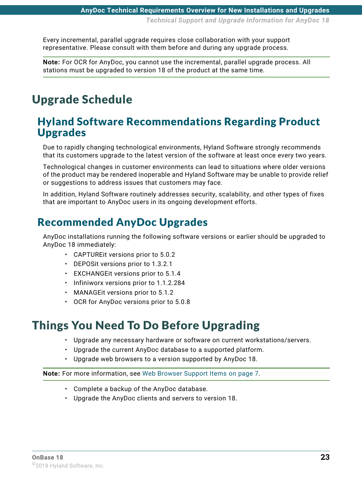Every incremental, parallel upgrade requires close collaboration with your support representative. Please consult with them before and during any upgrade process.

**Note:** For OCR for AnyDoc, you cannot use the incremental, parallel upgrade process. All stations must be upgraded to version 18 of the product at the same time.

## <span id="page-29-0"></span>Upgrade Schedule

#### <span id="page-29-1"></span>Hyland Software Recommendations Regarding Product Upgrades

Due to rapidly changing technological environments, Hyland Software strongly recommends that its customers upgrade to the latest version of the software at least once every two years.

Technological changes in customer environments can lead to situations where older versions of the product may be rendered inoperable and Hyland Software may be unable to provide relief or suggestions to address issues that customers may face.

In addition, Hyland Software routinely addresses security, scalability, and other types of fixes that are important to AnyDoc users in its ongoing development efforts.

### <span id="page-29-2"></span>Recommended AnyDoc Upgrades

AnyDoc installations running the following software versions or earlier should be upgraded to AnyDoc 18 immediately:

- CAPTUREit versions prior to 5.0.2
- DEPOSit versions prior to 1.3.2.1
- EXCHANGEit versions prior to 5.1.4
- Infiniworx versions prior to 1.1.2.284
- MANAGEit versions prior to 5.1.2
- OCR for AnyDoc versions prior to 5.0.8

### <span id="page-29-3"></span>Things You Need To Do Before Upgrading

- Upgrade any necessary hardware or software on current workstations/servers.
- Upgrade the current AnyDoc database to a supported platform.
- Upgrade web browsers to a version supported by AnyDoc 18.

**Note:** For more information, see [Web Browser Support Items on page 7](#page-13-3).

- Complete a backup of the AnyDoc database.
- Upgrade the AnyDoc clients and servers to version 18.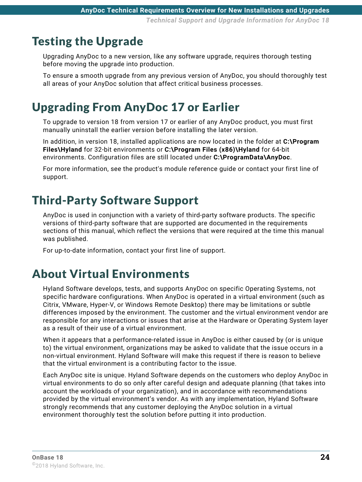### <span id="page-30-0"></span>Testing the Upgrade

Upgrading AnyDoc to a new version, like any software upgrade, requires thorough testing before moving the upgrade into production.

To ensure a smooth upgrade from any previous version of AnyDoc, you should thoroughly test all areas of your AnyDoc solution that affect critical business processes.

## <span id="page-30-1"></span>Upgrading From AnyDoc 17 or Earlier

To upgrade to version 18 from version 17 or earlier of any AnyDoc product, you must first manually uninstall the earlier version before installing the later version.

In addition, in version 18, installed applications are now located in the folder at **C:\Program Files\Hyland** for 32-bit environments or **C:\Program Files (x86)\Hyland** for 64-bit environments. Configuration files are still located under **C:\ProgramData\AnyDoc**.

For more information, see the product's module reference guide or contact your first line of support.

### <span id="page-30-2"></span>Third-Party Software Support

AnyDoc is used in conjunction with a variety of third-party software products. The specific versions of third-party software that are supported are documented in the requirements sections of this manual, which reflect the versions that were required at the time this manual was published.

For up-to-date information, contact your first line of support.

### <span id="page-30-3"></span>About Virtual Environments

Hyland Software develops, tests, and supports AnyDoc on specific Operating Systems, not specific hardware configurations. When AnyDoc is operated in a virtual environment (such as Citrix, VMware, Hyper-V, or Windows Remote Desktop) there may be limitations or subtle differences imposed by the environment. The customer and the virtual environment vendor are responsible for any interactions or issues that arise at the Hardware or Operating System layer as a result of their use of a virtual environment.

When it appears that a performance-related issue in AnyDoc is either caused by (or is unique to) the virtual environment, organizations may be asked to validate that the issue occurs in a non-virtual environment. Hyland Software will make this request if there is reason to believe that the virtual environment is a contributing factor to the issue.

Each AnyDoc site is unique. Hyland Software depends on the customers who deploy AnyDoc in virtual environments to do so only after careful design and adequate planning (that takes into account the workloads of your organization), and in accordance with recommendations provided by the virtual environment's vendor. As with any implementation, Hyland Software strongly recommends that any customer deploying the AnyDoc solution in a virtual environment thoroughly test the solution before putting it into production.